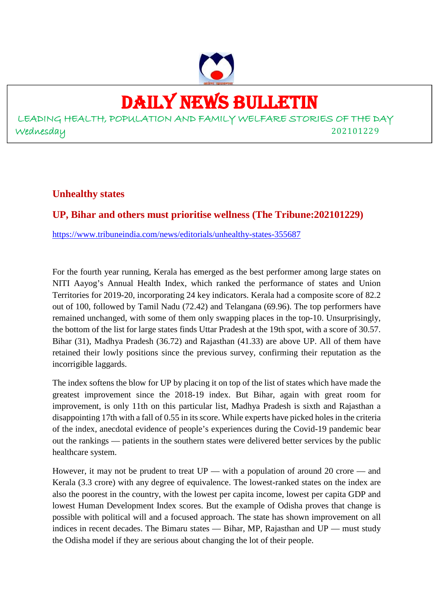

## DAILY NEWS BULLETIN

LEADING HEALTH, POPULATION AND FAMILY WELFARE STORIES OF THE DAY Wednesday 202101229

**Unhealthy states**

#### **UP, Bihar and others must prioritise wellness (The Tribune:202101229)**

https://www.tribuneindia.com/news/editorials/unhealthy-states-355687

For the fourth year running, Kerala has emerged as the best performer among large states on NITI Aayog's Annual Health Index, which ranked the performance of states and Union Territories for 2019-20, incorporating 24 key indicators. Kerala had a composite score of 82.2 out of 100, followed by Tamil Nadu (72.42) and Telangana (69.96). The top performers have remained unchanged, with some of them only swapping places in the top-10. Unsurprisingly, the bottom of the list for large states finds Uttar Pradesh at the 19th spot, with a score of 30.57. Bihar (31), Madhya Pradesh (36.72) and Rajasthan (41.33) are above UP. All of them have retained their lowly positions since the previous survey, confirming their reputation as the incorrigible laggards.

The index softens the blow for UP by placing it on top of the list of states which have made the greatest improvement since the 2018-19 index. But Bihar, again with great room for improvement, is only 11th on this particular list, Madhya Pradesh is sixth and Rajasthan a disappointing 17th with a fall of 0.55 in its score. While experts have picked holes in the criteria of the index, anecdotal evidence of people's experiences during the Covid-19 pandemic bear out the rankings — patients in the southern states were delivered better services by the public healthcare system.

However, it may not be prudent to treat UP — with a population of around 20 crore — and Kerala (3.3 crore) with any degree of equivalence. The lowest-ranked states on the index are also the poorest in the country, with the lowest per capita income, lowest per capita GDP and lowest Human Development Index scores. But the example of Odisha proves that change is possible with political will and a focused approach. The state has shown improvement on all indices in recent decades. The Bimaru states — Bihar, MP, Rajasthan and UP — must study the Odisha model if they are serious about changing the lot of their people.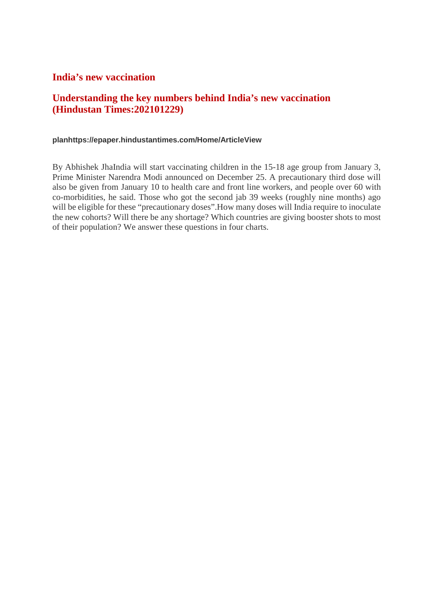#### **India's new vaccination**

#### **Understanding the key numbers behind India's new vaccination (Hindustan Times:202101229)**

#### **planhttps://epaper.hindustantimes.com/Home/ArticleView**

By Abhishek JhaIndia will start vaccinating children in the 15-18 age group from January 3, Prime Minister Narendra Modi announced on December 25. A precautionary third dose will also be given from January 10 to health care and front line workers, and people over 60 with co-morbidities, he said. Those who got the second jab 39 weeks (roughly nine months) ago will be eligible for these "precautionary doses".How many doses will India require to inoculate the new cohorts? Will there be any shortage? Which countries are giving booster shots to most of their population? We answer these questions in four charts.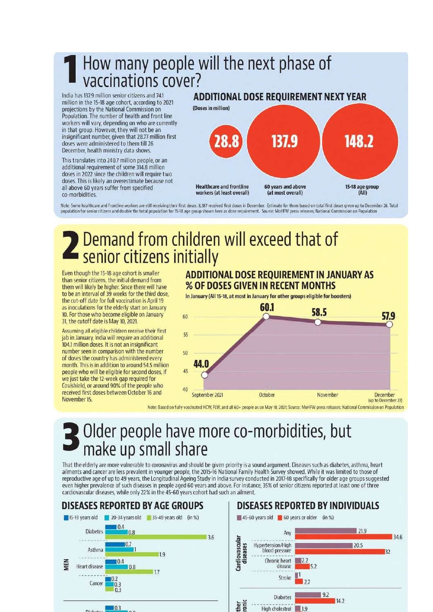## How many people will the next phase of<br>vaccinations cover?

India has 137.9 million senior citizens and 74.1 million in the 15-18 age cohort, according to 2021 projections by the National Commission on Population. The number of health and front line workers will vary, depending on who are currently in that group. However, they will not be an insignificant number, given that 28.77 million first doses were administered to them till 26 December, health ministry data shows.

This translates into 240.7 million people, or an additional requirement of some 314.8 million doses in 2022 since the children will require two doses. This is likely an overestimate because not all above 60 years suffer from specified co-morbidities.

#### **ADDITIONAL DOSE REQUIREMENT NEXT YEAR**



Note: Some healthcare and frontline workers are still receiving their first doses. 8,387 received first doses in December. Estimate for them based on total first doses given up to December 26. Total population for senior citizens and double the total population for 15-18 age group shown here as dose requirement. Source: MoHFW press releases; National Commission on Population

## Demand from children will exceed that of senior citizens initially

Even though the 15-18 age cohort is smaller than senior citizens, the initial demand from them will likely be higher. Since there will have to be an interval of 39 weeks for the third dose, the cut-off date for full vaccination is April 19 as inoculations for the elderly start on January 10. For those who become eligible on January 31, the cutoff date is May 10, 2021.

Assuming all eligible children receive their first jab in January, India will require an additional 104.1 million doses. It is not an insignificant number seen in comparison with the number of doses the country has administered every month. This is in addition to around 54.5 million people who will be eligible for second doses, if we just take the 12-week gap required for Covishield, or around 90% of the people who received first doses between October 16 and November 15

#### **ADDITIONAL DOSE REQUIREMENT IN JANUARY AS** % OF DOSES GIVEN IN RECENT MONTHS

In January (All 15-18, at most in January for other groups eligible for boosters)



Note: Based on fully vaccinated HCW, FLW, and all 60+ people as on May 10, 2021; Source: MoHFW press releases; National Commission on Population

### Older people have more co-morbidities, but make up small share

That the elderly are more vulnerable to coronavirus and should be given priority is a sound argument. Diseases such as diabetes, asthma, heart ailments and cancer are less prevalent in younger people, the 2015-16 National Family Health Survey showed. While it was limited to those of reproductive age of up to 49 years, the Longitudinal Ageing Study in India survey conducted in 2017-18 specifically for older age groups suggested even higher prevalence of such diseases in people aged 60 years and above. For instance, 35% of senior citizens reported at least one of three cardiovascular diseases, while only 22% in the 45-60 years cohort had such an ailment.



#### **DISEASES REPORTED BY INDIVIDUALS**

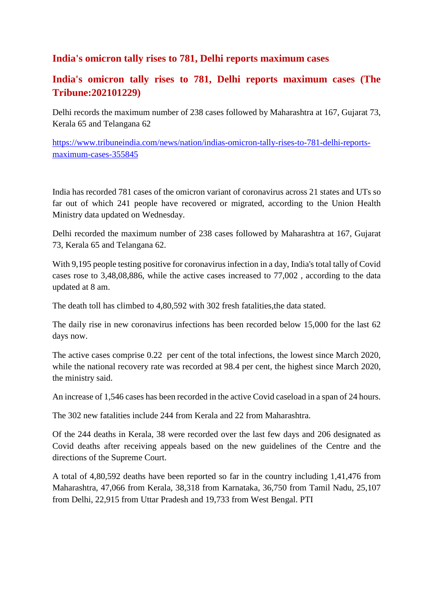#### **India's omicron tally rises to 781, Delhi reports maximum cases**

#### **India's omicron tally rises to 781, Delhi reports maximum cases (The Tribune:202101229)**

Delhi records the maximum number of 238 cases followed by Maharashtra at 167, Gujarat 73, Kerala 65 and Telangana 62

https://www.tribuneindia.com/news/nation/indias-omicron-tally-rises-to-781-delhi-reportsmaximum-cases-355845

India has recorded 781 cases of the omicron variant of coronavirus across 21 states and UTs so far out of which 241 people have recovered or migrated, according to the Union Health Ministry data updated on Wednesday.

Delhi recorded the maximum number of 238 cases followed by Maharashtra at 167, Gujarat 73, Kerala 65 and Telangana 62.

With 9,195 people testing positive for coronavirus infection in a day, India's total tally of Covid cases rose to 3,48,08,886, while the active cases increased to 77,002 , according to the data updated at 8 am.

The death toll has climbed to 4,80,592 with 302 fresh fatalities,the data stated.

The daily rise in new coronavirus infections has been recorded below 15,000 for the last 62 days now.

The active cases comprise 0.22 per cent of the total infections, the lowest since March 2020, while the national recovery rate was recorded at 98.4 per cent, the highest since March 2020, the ministry said.

An increase of 1,546 cases has been recorded in the active Covid caseload in a span of 24 hours.

The 302 new fatalities include 244 from Kerala and 22 from Maharashtra.

Of the 244 deaths in Kerala, 38 were recorded over the last few days and 206 designated as Covid deaths after receiving appeals based on the new guidelines of the Centre and the directions of the Supreme Court.

A total of 4,80,592 deaths have been reported so far in the country including 1,41,476 from Maharashtra, 47,066 from Kerala, 38,318 from Karnataka, 36,750 from Tamil Nadu, 25,107 from Delhi, 22,915 from Uttar Pradesh and 19,733 from West Bengal. PTI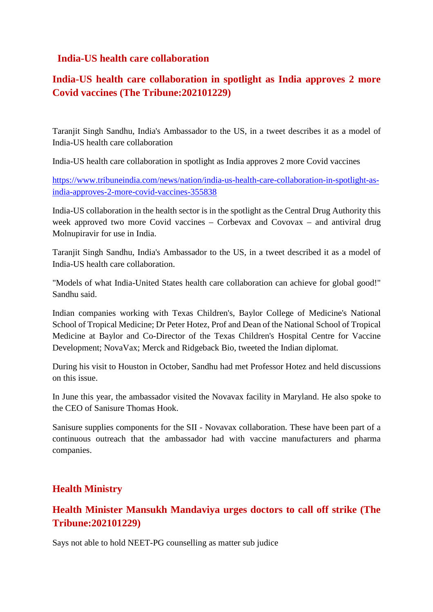#### **India-US health care collaboration**

#### **India-US health care collaboration in spotlight as India approves 2 more Covid vaccines (The Tribune:202101229)**

Taranjit Singh Sandhu, India's Ambassador to the US, in a tweet describes it as a model of India-US health care collaboration

India-US health care collaboration in spotlight as India approves 2 more Covid vaccines

https://www.tribuneindia.com/news/nation/india-us-health-care-collaboration-in-spotlight-asindia-approves-2-more-covid-vaccines-355838

India-US collaboration in the health sector is in the spotlight as the Central Drug Authority this week approved two more Covid vaccines – Corbevax and Covovax – and antiviral drug Molnupiravir for use in India.

Taranjit Singh Sandhu, India's Ambassador to the US, in a tweet described it as a model of India-US health care collaboration.

"Models of what India-United States health care collaboration can achieve for global good!" Sandhu said.

Indian companies working with Texas Children's, Baylor College of Medicine's National School of Tropical Medicine; Dr Peter Hotez, Prof and Dean of the National School of Tropical Medicine at Baylor and Co-Director of the Texas Children's Hospital Centre for Vaccine Development; NovaVax; Merck and Ridgeback Bio, tweeted the Indian diplomat.

During his visit to Houston in October, Sandhu had met Professor Hotez and held discussions on this issue.

In June this year, the ambassador visited the Novavax facility in Maryland. He also spoke to the CEO of Sanisure Thomas Hook.

Sanisure supplies components for the SII - Novavax collaboration. These have been part of a continuous outreach that the ambassador had with vaccine manufacturers and pharma companies.

#### **Health Ministry**

#### **Health Minister Mansukh Mandaviya urges doctors to call off strike (The Tribune:202101229)**

Says not able to hold NEET-PG counselling as matter sub judice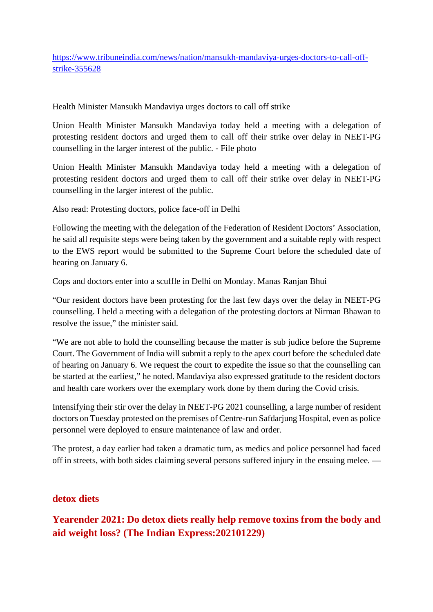https://www.tribuneindia.com/news/nation/mansukh-mandaviya-urges-doctors-to-call-offstrike-355628

Health Minister Mansukh Mandaviya urges doctors to call off strike

Union Health Minister Mansukh Mandaviya today held a meeting with a delegation of protesting resident doctors and urged them to call off their strike over delay in NEET-PG counselling in the larger interest of the public. - File photo

Union Health Minister Mansukh Mandaviya today held a meeting with a delegation of protesting resident doctors and urged them to call off their strike over delay in NEET-PG counselling in the larger interest of the public.

Also read: Protesting doctors, police face-off in Delhi

Following the meeting with the delegation of the Federation of Resident Doctors' Association, he said all requisite steps were being taken by the government and a suitable reply with respect to the EWS report would be submitted to the Supreme Court before the scheduled date of hearing on January 6.

Cops and doctors enter into a scuffle in Delhi on Monday. Manas Ranjan Bhui

"Our resident doctors have been protesting for the last few days over the delay in NEET-PG counselling. I held a meeting with a delegation of the protesting doctors at Nirman Bhawan to resolve the issue," the minister said.

"We are not able to hold the counselling because the matter is sub judice before the Supreme Court. The Government of India will submit a reply to the apex court before the scheduled date of hearing on January 6. We request the court to expedite the issue so that the counselling can be started at the earliest," he noted. Mandaviya also expressed gratitude to the resident doctors and health care workers over the exemplary work done by them during the Covid crisis.

Intensifying their stir over the delay in NEET-PG 2021 counselling, a large number of resident doctors on Tuesday protested on the premises of Centre-run Safdarjung Hospital, even as police personnel were deployed to ensure maintenance of law and order.

The protest, a day earlier had taken a dramatic turn, as medics and police personnel had faced off in streets, with both sides claiming several persons suffered injury in the ensuing melee. —

#### **detox diets**

**Yearender 2021: Do detox diets really help remove toxins from the body and aid weight loss? (The Indian Express:202101229)**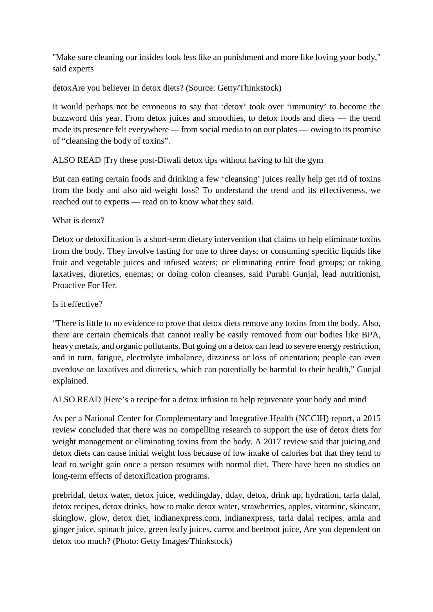"Make sure cleaning our insides look less like an punishment and more like loving your body," said experts

detoxAre you believer in detox diets? (Source: Getty/Thinkstock)

It would perhaps not be erroneous to say that 'detox' took over 'immunity' to become the buzzword this year. From detox juices and smoothies, to detox foods and diets — the trend made its presence felt everywhere — from social media to on our plates — owing to its promise of "cleansing the body of toxins".

ALSO READ |Try these post-Diwali detox tips without having to hit the gym

But can eating certain foods and drinking a few 'cleansing' juices really help get rid of toxins from the body and also aid weight loss? To understand the trend and its effectiveness, we reached out to experts — read on to know what they said.

What is detox?

Detox or detoxification is a short-term dietary intervention that claims to help eliminate toxins from the body. They involve fasting for one to three days; or consuming specific liquids like fruit and vegetable juices and infused waters; or eliminating entire food groups; or taking laxatives, diuretics, enemas; or doing colon cleanses, said Purabi Gunjal, lead nutritionist, Proactive For Her.

Is it effective?

"There is little to no evidence to prove that detox diets remove any toxins from the body. Also, there are certain chemicals that cannot really be easily removed from our bodies like BPA, heavy metals, and organic pollutants. But going on a detox can lead to severe energy restriction, and in turn, fatigue, electrolyte imbalance, dizziness or loss of orientation; people can even overdose on laxatives and diuretics, which can potentially be harmful to their health," Gunjal explained.

ALSO READ |Here's a recipe for a detox infusion to help rejuvenate your body and mind

As per a National Center for Complementary and Integrative Health (NCCIH) report, a 2015 review concluded that there was no compelling research to support the use of detox diets for weight management or eliminating toxins from the body. A 2017 review said that juicing and detox diets can cause initial weight loss because of low intake of calories but that they tend to lead to weight gain once a person resumes with normal diet. There have been no studies on long-term effects of detoxification programs.

prebridal, detox water, detox juice, weddingday, dday, detox, drink up, hydration, tarla dalal, detox recipes, detox drinks, how to make detox water, strawberries, apples, vitaminc, skincare, skinglow, glow, detox diet, indianexpress.com, indianexpress, tarla dalal recipes, amla and ginger juice, spinach juice, green leafy juices, carrot and beetroot juice, Are you dependent on detox too much? (Photo: Getty Images/Thinkstock)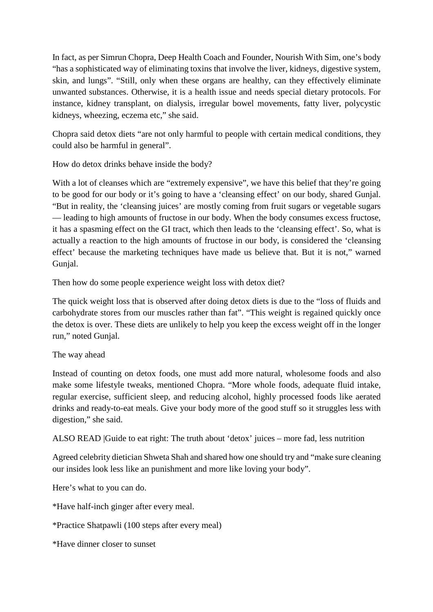In fact, as per Simrun Chopra, Deep Health Coach and Founder, Nourish With Sim, one's body "has a sophisticated way of eliminating toxins that involve the liver, kidneys, digestive system, skin, and lungs". "Still, only when these organs are healthy, can they effectively eliminate unwanted substances. Otherwise, it is a health issue and needs special dietary protocols. For instance, kidney transplant, on dialysis, irregular bowel movements, fatty liver, polycystic kidneys, wheezing, eczema etc," she said.

Chopra said detox diets "are not only harmful to people with certain medical conditions, they could also be harmful in general".

How do detox drinks behave inside the body?

With a lot of cleanses which are "extremely expensive", we have this belief that they're going to be good for our body or it's going to have a 'cleansing effect' on our body, shared Gunjal. "But in reality, the 'cleansing juices' are mostly coming from fruit sugars or vegetable sugars — leading to high amounts of fructose in our body. When the body consumes excess fructose, it has a spasming effect on the GI tract, which then leads to the 'cleansing effect'. So, what is actually a reaction to the high amounts of fructose in our body, is considered the 'cleansing effect' because the marketing techniques have made us believe that. But it is not," warned Gunjal.

Then how do some people experience weight loss with detox diet?

The quick weight loss that is observed after doing detox diets is due to the "loss of fluids and carbohydrate stores from our muscles rather than fat". "This weight is regained quickly once the detox is over. These diets are unlikely to help you keep the excess weight off in the longer run," noted Gunjal.

#### The way ahead

Instead of counting on detox foods, one must add more natural, wholesome foods and also make some lifestyle tweaks, mentioned Chopra. "More whole foods, adequate fluid intake, regular exercise, sufficient sleep, and reducing alcohol, highly processed foods like aerated drinks and ready-to-eat meals. Give your body more of the good stuff so it struggles less with digestion," she said.

ALSO READ |Guide to eat right: The truth about 'detox' juices – more fad, less nutrition

Agreed celebrity dietician Shweta Shah and shared how one should try and "make sure cleaning our insides look less like an punishment and more like loving your body".

Here's what to you can do.

\*Have half-inch ginger after every meal.

\*Practice Shatpawli (100 steps after every meal)

\*Have dinner closer to sunset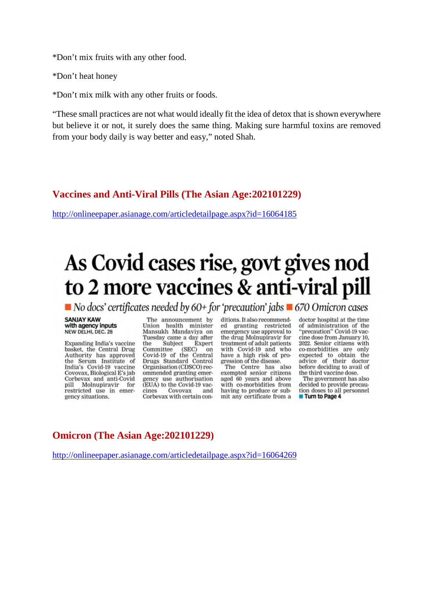\*Don't mix fruits with any other food.

\*Don't heat honey

\*Don't mix milk with any other fruits or foods.

"These small practices are not what would ideally fit the idea of detox that is shown everywhere but believe it or not, it surely does the same thing. Making sure harmful toxins are removed from your body daily is way better and easy," noted Shah.

#### **Vaccines and Anti-Viral Pills (The Asian Age:202101229)**

http://onlineepaper.asianage.com/articledetailpage.aspx?id=16064185

## As Covid cases rise, govt gives nod to 2 more vaccines & anti-viral pill

 $\blacksquare$  No docs' certificates needed by 60+ for 'precaution' jabs  $\blacksquare$  670 Omicron cases

#### **SANJAY KAW** with agency inputs NEW DELHI, DEC. 28

Expanding India's vaccine basket, the Central Drug Authority has approved the Serum Institute of India's Covid-19 vaccine Covovax, Biological E's jab Corbevax and anti-Covid pill Molnupiravir for restricted use in emergency situations.

The announcement by Union health minister<br>Mansukh Mandaviya on Tuesday came a day after<br>the Subject Expert Expert the Committee  $(SEC)$ on Committee (SEC) on<br>Covid-19 of the Central<br>Drugs Standard Control Organisation (CDSCO) recommended granting emergency use authorisation (EUA) to the Covid-19 vaccines Covovax and Corbevax with certain conditions. It also recommended granting restricted emergency use approval to the drug Molnupiravir for treatment of adult patients with Covid-19 and who have a high risk of progression of the disease.

The Centre has also exempted senior citizens aged 60 years and above with co-morbidities from having to produce or submit any certificate from a doctor hospital at the time of administration of the "precaution" Covid-19 vaccine dose from January 10. 2022. Senior citizens with co-morbidities are only expected to obtain the<br>advice of their doctor before deciding to avail of the third vaccine dose.

The government has also decided to provide precaution doses to all personnel Turn to Page 4

#### **Omicron (The Asian Age:202101229)**

http://onlineepaper.asianage.com/articledetailpage.aspx?id=16064269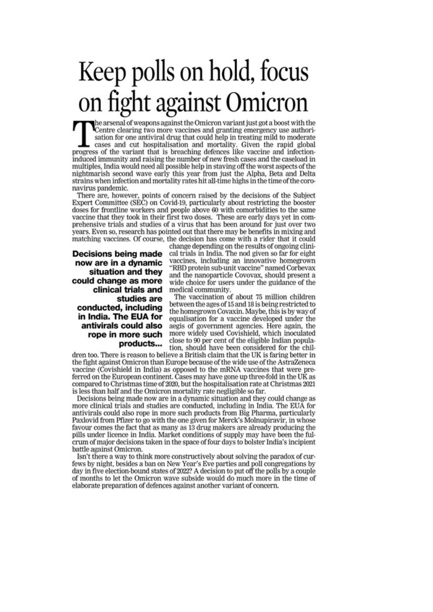## Keep polls on hold, focus on fight against Omicron

he arsenal of weapons against the Omicron variant just got a boost with the<br>Centre clearing two more vaccines and granting emergency use authorisation for one antiviral drug that could help in treating mild to moderate cases and cut hospitalisation and mortality. Given the rapid global progress of the variant that is breaching defences like vaccine and infectioninduced immunity and raising the number of new fresh cases and the caseload in multiples, India would need all possible help in staving off the worst aspects of the nightmarish second wave early this year from just the Alpha, Beta and Delta strains when infection and mortality rates hit all-time highs in the time of the coronavirus pandemic.

There are, however, points of concern raised by the decisions of the Subject Expert Committee (SEC) on Covid-19, particularly about restricting the booster doses for frontline workers and people above 60 with comorbidities to the same vaccine that they took in their first two doses. These are early days yet in comprehensive trials and studies of a virus that has been around for just over two years. Even so, research has pointed out that there may be benefits in mixing and matching vaccines. Of course, the decision has come with a rider that it could

#### **Decisions being made** now are in a dynamic situation and they could change as more clinical trials and studies are conducted, including in India. The EUA for antivirals could also rope in more such products...

change depending on the results of ongoing clinical trials in India. The nod given so far for eight vaccines, including an innovative homegrown "RBD protein sub-unit vaccine" named Corbevax and the nanoparticle Covovax, should present a wide choice for users under the guidance of the medical community.

The vaccination of about 75 million children between the ages of 15 and 18 is being restricted to the homegrown Covaxin. Maybe, this is by way of equalisation for a vaccine developed under the aegis of government agencies. Here again, the more widely used Covishield, which inoculated close to 90 per cent of the eligible Indian population, should have been considered for the chil-

dren too. There is reason to believe a British claim that the UK is faring better in the fight against Omicron than Europe because of the wide use of the AstraZeneca vaccine (Covishield in India) as opposed to the mRNA vaccines that were preferred on the European continent. Cases may have gone up three-fold in the UK as compared to Christmas time of 2020, but the hospitalisation rate at Christmas 2021 is less than half and the Omicron mortality rate negligible so far.

Decisions being made now are in a dynamic situation and they could change as more clinical trials and studies are conducted, including in India. The EUA for antivirals could also rope in more such products from Big Pharma, particularly Paxlovid from Pfizer to go with the one given for Merck's Molnupiravir, in whose favour comes the fact that as many as 13 drug makers are already producing the pills under licence in India. Market conditions of supply may have been the fulcrum of major decisions taken in the space of four days to bolster India's incipient battle against Omicron.

Isn't there a way to think more constructively about solving the paradox of curfews by night, besides a ban on New Year's Eve parties and poll congregations by day in five election-bound states of 2022? A decision to put off the polls by a couple of months to let the Omicron wave subside would do much more in the time of elaborate preparation of defences against another variant of concern.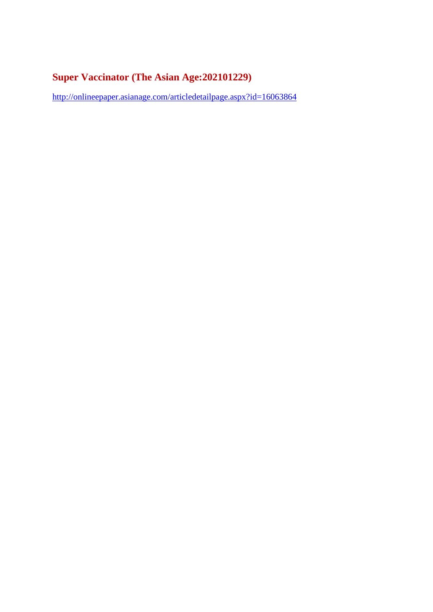#### **Super Vaccinator (The Asian Age:202101229)**

http://onlineepaper.asianage.com/articledetailpage.aspx?id=16063864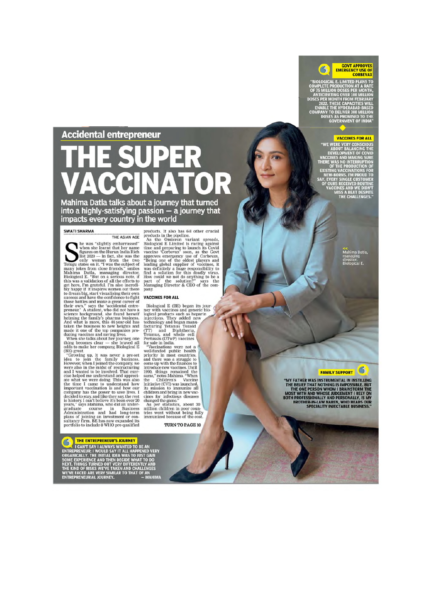#### **Accidental entrepreneur**

# $\overline{\mathbf{A}}$

Mahima Datla talks about a journey that turned into a highly-satisfying passion  $-\bar{a}$  journey that impacts every country in the world

#### **SWATI SHARMA**

**SWATI SHARMA**<br>
THE ASIAN AGENERAT THE ASIAN AGENT THE ASIAN AGENT THE ASIAN AGENT (Figures on the Hurur India Rich figures on the Hurur India Rich Tellugu states on it. "I was the subject of many jokes from close friends THE ASIAN AGE

products. It also has  $6-8$  other crucial<br>products in the pipeline.<br>As the Omicron variant spreads,<br>Biological E Limited is racing against<br>time and preparing to launch its Covid<br>accine "Corbevax" soon, as the Govt<br>approve pany

#### VACCINES FOR ALL

**VACCINES FOR ALL**<br>Biological E (BE) began its journey with vaccines and generic biological products such as heparin<br>injections. They added new facturing Tetamology and began manu-<br>facturing Tetamos Toxoid (TT) and Diphel

TURN TO PAGE 10

**GOVT APPROVES<br>EMERGENCY USE OF**<br>CORBEVAX Ġ

**CORBEVAX**<br>BIOLOGICAL E. LIMITED PLANS TO<br>MPLETE PRODUCTION AT A RATE<br>F 75 MILLION DOSES PER MONTH,<br>ANTICIPATING OVER 100 MILLION<br>PER CADEL THE HYDERABAD-BASED<br>EXABLE THE HYDERABAD-BASED<br>DMPANY TO DELIVER 300 MILLION<br>DOSES

#### **VACCINES FOR ALL**

**WE WERE VERY CONSCIOUS<br>ABOUT BALANCING THE<br>DEVELOPMENT OF COVID<br>ACCINES AND MAKING SURE** THERE WAS NO INTERRUPTION **ICTION OF STING VACCINATIONS FOR<br>EW-BORNS, I'M PROUD TO<br>EVERY SINGLE CUSTOMER<br>OURS RECEIVED ROUTINE<br>VACCINES AND WE DIDN'T<br>MISS A BEAT DESPITE<br>THE CHALLENGES."** 

> ma Datia lanagn.<br>irector,

#### G **FAMILY SUPPORT**

"MY FATHER WAS INSTRUMENTAL IN INSTILLING<br>THE OBELIEF THAT NOTHING IS IMPOSSIBLE. BUT<br>THE ONE PERSON WHOM I BRAINSTORM THE ONE MOST WITH AND WHOSE JUDGEMENT I RELY ON<br>BOTH PROFESSIONALLY AND PERSONALLY, IS MY<br>BROTHER-IN-LA

S **EXPRESSIONALLY THE SUPPREMEURS JOURNEY<br>
ENTREPRENEUR; I WOULD SAY IT ALL HAPPENED VERY<br>
SORGANICALLY. THE INITIAL IDEA WAS TO JUST GAIN OF SOME EXPERIENCE AND THEN DECIDE WHAT TO DO<br>
NEXT. THINGS TURNED OUT VERY DIFFERENT** 

THE ENTREPRENEUR'S JOURNEY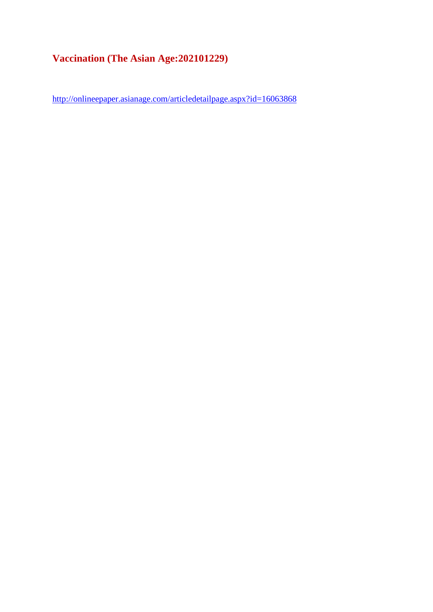#### **Vaccination (The Asian Age:202101229)**

http://onlineepaper.asianage.com/articledetailpage.aspx?id=16063868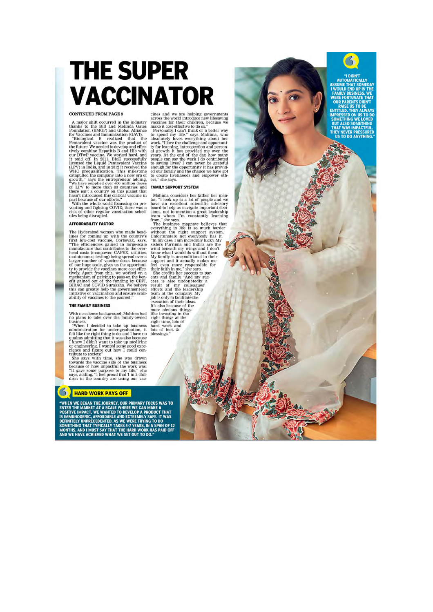## **THE SUPER** VACCINATOR

#### **CONTINUED FROM PAGE 9**

**CONTINUED FROM PAGE 9**<br>A major shift occurred in the industry A major shift occurred in the industry three Bill and Melinda Gates for Vaccines and Immunization (GAVI). Photoarcan dimmunization (GAVI) the future. We neede

#### **AFFORDARILITY FACTOR**

The Hyderabad woman who made headlines for coming up with the country's first forwards first low-cost vaccine, Corbevax, says, "The efficiencies gained in large-scale manufacture that contributes to the over-lang special The Hyderabad woman who made head-

#### THE FAMILY BUSINESS

With no science background, Mahima had<br>no plans to take over the family-owned

no plans to take over the range of the summary<br>summary with a simulation for under-graduation, it felt like the right thing to do, and I have no<br>pullims admitting that it was also because<br>I knew I didn't want to take up m

tribute to society."<br>She says with time, she was drawn<br>towards the vaccine side of the business<br>because of how impactful the work was.<br>"It gave some purpose to my life," she<br>says, adding, "I feel proud that 1 in 2 chil-<br>d

#### **S** HARD WORK PAYS OFF

"WHEN WE BEGAN THE JOURNEY, OUR PRIMARY FOCUS WAS TO<br>ENTER THE MARKET AT A SCALE WHERE WE CAN MAKE A<br>POSITIVE IMPACT. WE WANTED TO DEVELOP A PRODUCT THAT<br>IS IMMUNOGENIC, AFFORDABLE AND EXTREMELY SAFE. IT WAS<br>DEFINITELY UNP

cines and we are helping governments<br>across the world introduce new lifesaving<br>vaccines for their children, because we<br>make it cost-effective to do so."<br>Personally, I can't think of a better way<br>to spend my life." says Ma

#### **FAMILY SUPPORT SYSTEM**

**FAMILY SUPPORT SYSTEM**<br>
Mahima considers her father her mentor."<br>
Tlook up to a lot of people and we can excellent seientific advisory<br>
board to help us navigate important decision<br>
team whom I'm constantly learning<br>
fro hard work and<br>lots of luck & blessings.

 $\left| \mathcal{S} \right|$ 

**ASSUME THAT SOMEDAY I WOULD FND UP IN THE WERE FORTUNATE THAT<br>OUR PARENTS DIDN'T<br>RAISE US TO BE<br>ENTITLED. THEY ALWAYS MPRESSED ON US TO DO**<br>SOMETHING WE LOVED **BUT ALSO SO THAT WAS IMPA** EY NEVER PRESSURE<br>US TO DO ANYTHING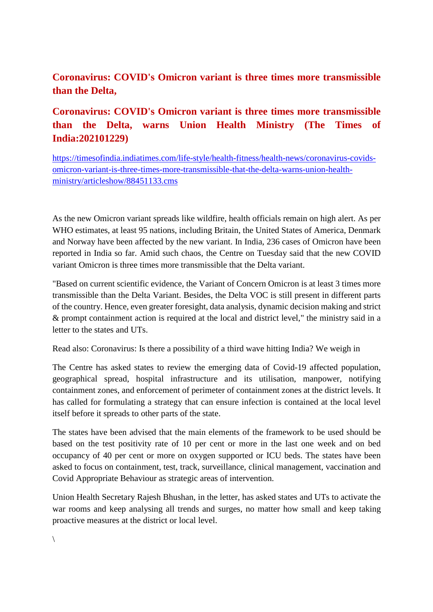#### **Coronavirus: COVID's Omicron variant is three times more transmissible than the Delta,**

#### **Coronavirus: COVID's Omicron variant is three times more transmissible than the Delta, warns Union Health Ministry (The Times of India:202101229)**

https://timesofindia.indiatimes.com/life-style/health-fitness/health-news/coronavirus-covidsomicron-variant-is-three-times-more-transmissible-that-the-delta-warns-union-healthministry/articleshow/88451133.cms

As the new Omicron variant spreads like wildfire, health officials remain on high alert. As per WHO estimates, at least 95 nations, including Britain, the United States of America, Denmark and Norway have been affected by the new variant. In India, 236 cases of Omicron have been reported in India so far. Amid such chaos, the Centre on Tuesday said that the new COVID variant Omicron is three times more transmissible that the Delta variant.

"Based on current scientific evidence, the Variant of Concern Omicron is at least 3 times more transmissible than the Delta Variant. Besides, the Delta VOC is still present in different parts of the country. Hence, even greater foresight, data analysis, dynamic decision making and strict & prompt containment action is required at the local and district level," the ministry said in a letter to the states and UTs.

Read also: Coronavirus: Is there a possibility of a third wave hitting India? We weigh in

The Centre has asked states to review the emerging data of Covid-19 affected population, geographical spread, hospital infrastructure and its utilisation, manpower, notifying containment zones, and enforcement of perimeter of containment zones at the district levels. It has called for formulating a strategy that can ensure infection is contained at the local level itself before it spreads to other parts of the state.

The states have been advised that the main elements of the framework to be used should be based on the test positivity rate of 10 per cent or more in the last one week and on bed occupancy of 40 per cent or more on oxygen supported or ICU beds. The states have been asked to focus on containment, test, track, surveillance, clinical management, vaccination and Covid Appropriate Behaviour as strategic areas of intervention.

Union Health Secretary Rajesh Bhushan, in the letter, has asked states and UTs to activate the war rooms and keep analysing all trends and surges, no matter how small and keep taking proactive measures at the district or local level.

 $\setminus$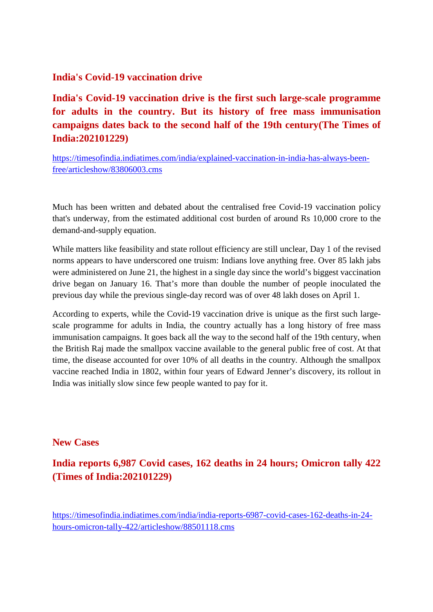#### **India's Covid-19 vaccination drive**

**India's Covid-19 vaccination drive is the first such large-scale programme for adults in the country. But its history of free mass immunisation campaigns dates back to the second half of the 19th century(The Times of India:202101229)**

https://timesofindia.indiatimes.com/india/explained-vaccination-in-india-has-always-beenfree/articleshow/83806003.cms

Much has been written and debated about the centralised free Covid-19 vaccination policy that's underway, from the estimated additional cost burden of around Rs 10,000 crore to the demand-and-supply equation.

While matters like feasibility and state rollout efficiency are still unclear, Day 1 of the revised norms appears to have underscored one truism: Indians love anything free. Over 85 lakh jabs were administered on June 21, the highest in a single day since the world's biggest vaccination drive began on January 16. That's more than double the number of people inoculated the previous day while the previous single-day record was of over 48 lakh doses on April 1.

According to experts, while the Covid-19 vaccination drive is unique as the first such largescale programme for adults in India, the country actually has a long history of free mass immunisation campaigns. It goes back all the way to the second half of the 19th century, when the British Raj made the smallpox vaccine available to the general public free of cost. At that time, the disease accounted for over 10% of all deaths in the country. Although the smallpox vaccine reached India in 1802, within four years of Edward Jenner's discovery, its rollout in India was initially slow since few people wanted to pay for it.

#### **New Cases**

**India reports 6,987 Covid cases, 162 deaths in 24 hours; Omicron tally 422 (Times of India:202101229)**

https://timesofindia.indiatimes.com/india/india-reports-6987-covid-cases-162-deaths-in-24 hours-omicron-tally-422/articleshow/88501118.cms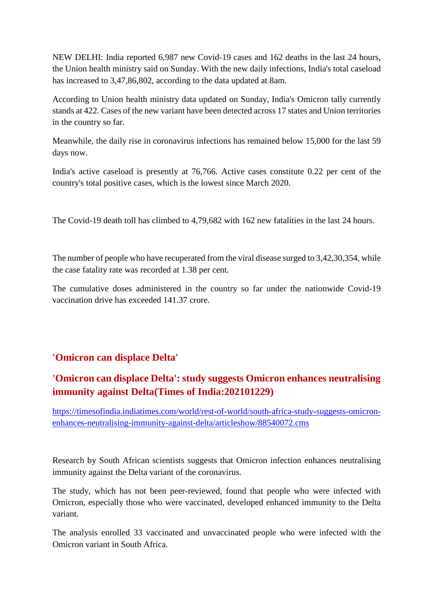NEW DELHI: India reported 6,987 new Covid-19 cases and 162 deaths in the last 24 hours, the Union health ministry said on Sunday. With the new daily infections, India's total caseload has increased to 3,47,86,802, according to the data updated at 8am.

According to Union health ministry data updated on Sunday, India's Omicron tally currently stands at 422. Cases of the new variant have been detected across 17 states and Union territories in the country so far.

Meanwhile, the daily rise in coronavirus infections has remained below 15,000 for the last 59 days now.

India's active caseload is presently at 76,766. Active cases constitute 0.22 per cent of the country's total positive cases, which is the lowest since March 2020.

The Covid-19 death toll has climbed to 4,79,682 with 162 new fatalities in the last 24 hours.

The number of people who have recuperated from the viral disease surged to 3,42,30,354, while the case fatality rate was recorded at 1.38 per cent.

The cumulative doses administered in the country so far under the nationwide Covid-19 vaccination drive has exceeded 141.37 crore.

#### **'Omicron can displace Delta'**

#### **'Omicron can displace Delta': study suggests Omicron enhances neutralising immunity against Delta(Times of India:202101229)**

https://timesofindia.indiatimes.com/world/rest-of-world/south-africa-study-suggests-omicronenhances-neutralising-immunity-against-delta/articleshow/88540072.cms

Research by South African scientists suggests that Omicron infection enhances neutralising immunity against the Delta variant of the coronavirus.

The study, which has not been peer-reviewed, found that people who were infected with Omicron, especially those who were vaccinated, developed enhanced immunity to the Delta variant.

The analysis enrolled 33 vaccinated and unvaccinated people who were infected with the Omicron variant in South Africa.